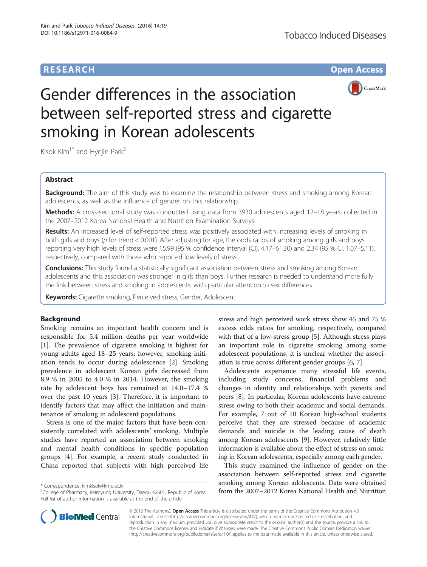# **RESEARCH CHE Open Access**



# Gender differences in the association between self-reported stress and cigarette smoking in Korean adolescents

Kisok Kim<sup>1\*</sup> and Hyejin Park<sup>2</sup>

## Abstract

**Background:** The aim of this study was to examine the relationship between stress and smoking among Korean adolescents, as well as the influence of gender on this relationship.

Methods: A cross-sectional study was conducted using data from 3930 adolescents aged 12-18 years, collected in the 2007–2012 Korea National Health and Nutrition Examination Surveys.

Results: An increased level of self-reported stress was positively associated with increasing levels of smoking in both girls and boys (p for trend < 0.001). After adjusting for age, the odds ratios of smoking among girls and boys reporting very high levels of stress were 15.99 (95 % confidence interval (CI), 4.17–61.30) and 2.34 (95 % CI, 1.07–5.11), respectively, compared with those who reported low levels of stress.

**Conclusions:** This study found a statistically significant association between stress and smoking among Korean adolescents and this association was stronger in girls than boys. Further research is needed to understand more fully the link between stress and smoking in adolescents, with particular attention to sex differences.

Keywords: Cigarette smoking, Perceived stress, Gender, Adolescent

## Background

Smoking remains an important health concern and is responsible for 5.4 million deaths per year worldwide [[1\]](#page-3-0). The prevalence of cigarette smoking is highest for young adults aged 18–25 years; however, smoking initiation tends to occur during adolescence [\[2](#page-3-0)]. Smoking prevalence in adolescent Korean girls decreased from 8.9 % in 2005 to 4.0 % in 2014. However, the smoking rate by adolescent boys has remained at 14.0–17.4 % over the past 10 years [\[3\]](#page-3-0). Therefore, it is important to identify factors that may affect the initiation and maintenance of smoking in adolescent populations.

Stress is one of the major factors that have been consistently correlated with adolescents' smoking. Multiple studies have reported an association between smoking and mental health conditions in specific population groups [[4\]](#page-3-0). For example, a recent study conducted in China reported that subjects with high perceived life

stress and high perceived work stress show 45 and 75 % excess odds ratios for smoking, respectively, compared with that of a low-stress group [[5\]](#page-3-0). Although stress plays an important role in cigarette smoking among some adolescent populations, it is unclear whether the association is true across different gender groups [\[6](#page-3-0), [7](#page-3-0)].

Adolescents experience many stressful life events, including study concerns, financial problems and changes in identity and relationships with parents and peers [\[8](#page-3-0)]. In particular, Korean adolescents have extreme stress owing to both their academic and social demands. For example, 7 out of 10 Korean high-school students perceive that they are stressed because of academic demands and suicide is the leading cause of death among Korean adolescents [[9\]](#page-3-0). However, relatively little information is available about the effect of stress on smoking in Korean adolescents, especially among each gender.

This study examined the influence of gender on the association between self-reported stress and cigarette smoking among Korean adolescents. Data were obtained from the 2007–2012 Korespondence: [kimkisok@kmu.ac.kr](mailto:kimkisok@kmu.ac.kr) enterpression.<br>Trollege of Pharmacy, Keimvung University, Daegu 42601, Republic of Korea https://tom.the 2007–2012 Korea National Health and Nutrition



© 2016 The Author(s). Open Access This article is distributed under the terms of the Creative Commons Attribution 4.0 International License [\(http://creativecommons.org/licenses/by/4.0/](http://creativecommons.org/licenses/by/4.0/)), which permits unrestricted use, distribution, and reproduction in any medium, provided you give appropriate credit to the original author(s) and the source, provide a link to the Creative Commons license, and indicate if changes were made. The Creative Commons Public Domain Dedication waiver [\(http://creativecommons.org/publicdomain/zero/1.0/](http://creativecommons.org/publicdomain/zero/1.0/)) applies to the data made available in this article, unless otherwise stated.

<sup>&</sup>lt;sup>1</sup> College of Pharmacy, Keimyung University, Daegu 42601, Republic of Korea Full list of author information is available at the end of the article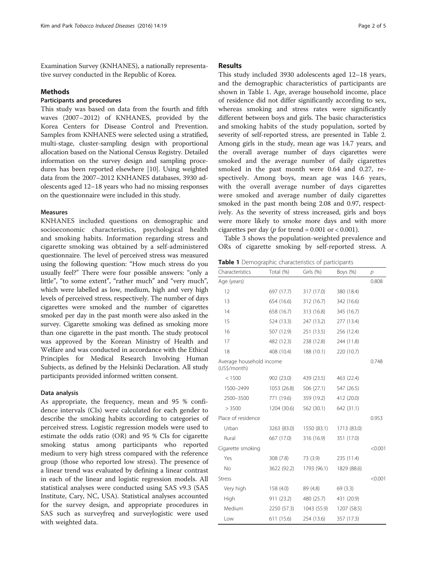Examination Survey (KNHANES), a nationally representative survey conducted in the Republic of Korea.

#### **Methods**

## Participants and procedures

This study was based on data from the fourth and fifth waves (2007–2012) of KNHANES, provided by the Korea Centers for Disease Control and Prevention. Samples from KNHANES were selected using a stratified, multi-stage, cluster-sampling design with proportional allocation based on the National Census Registry. Detailed information on the survey design and sampling procedures has been reported elsewhere [\[10\]](#page-3-0). Using weighted data from the 2007–2012 KNHANES databases, 3930 adolescents aged 12–18 years who had no missing responses on the questionnaire were included in this study.

## Measures

KNHANES included questions on demographic and socioeconomic characteristics, psychological health and smoking habits. Information regarding stress and cigarette smoking was obtained by a self-administered questionnaire. The level of perceived stress was measured using the following question: "How much stress do you usually feel?" There were four possible answers: "only a little", "to some extent", "rather much" and "very much", which were labelled as low, medium, high and very high levels of perceived stress, respectively. The number of days cigarettes were smoked and the number of cigarettes smoked per day in the past month were also asked in the survey. Cigarette smoking was defined as smoking more than one cigarette in the past month. The study protocol was approved by the Korean Ministry of Health and Welfare and was conducted in accordance with the Ethical Principles for Medical Research Involving Human Subjects, as defined by the Helsinki Declaration. All study participants provided informed written consent.

## Data analysis

As appropriate, the frequency, mean and 95 % confidence intervals (CIs) were calculated for each gender to describe the smoking habits according to categories of perceived stress. Logistic regression models were used to estimate the odds ratio (OR) and 95 % CIs for cigarette smoking status among participants who reported medium to very high stress compared with the reference group (those who reported low stress). The presence of a linear trend was evaluated by defining a linear contrast in each of the linear and logistic regression models. All statistical analyses were conducted using SAS v9.3 (SAS Institute, Cary, NC, USA). Statistical analyses accounted for the survey design, and appropriate procedures in SAS such as surveyfreq and surveylogistic were used with weighted data.

## Results

This study included 3930 adolescents aged 12–18 years, and the demographic characteristics of participants are shown in Table 1. Age, average household income, place of residence did not differ significantly according to sex, whereas smoking and stress rates were significantly different between boys and girls. The basic characteristics and smoking habits of the study population, sorted by severity of self-reported stress, are presented in Table [2](#page-2-0). Among girls in the study, mean age was 14.7 years, and the overall average number of days cigarettes were smoked and the average number of daily cigarettes smoked in the past month were 0.64 and 0.27, respectively. Among boys, mean age was 14.6 years, with the overall average number of days cigarettes were smoked and average number of daily cigarettes smoked in the past month being 2.08 and 0.97, respectively. As the severity of stress increased, girls and boys were more likely to smoke more days and with more cigarettes per day ( $p$  for trend = 0.001 or < 0.001).

Table [3](#page-2-0) shows the population-weighted prevalence and ORs of cigarette smoking by self-reported stress. A

Table 1 Demographic characteristics of participants

| Characteristics                          | Total (%)   | Girls (%)   | Boys $(\%)$ | р       |
|------------------------------------------|-------------|-------------|-------------|---------|
| Age (years)                              |             |             |             | 0.808   |
| 12                                       | 697 (17.7)  | 317 (17.0)  | 380 (18.4)  |         |
| 13                                       | 654 (16.6)  | 312 (16.7)  | 342 (16.6)  |         |
| 14                                       | 658 (16.7)  | 313 (16.8)  | 345 (16.7)  |         |
| 15                                       | 524 (13.3)  | 247 (13.2)  | 277 (13.4)  |         |
| 16                                       | 507 (12.9)  | 251 (13.5)  | 256 (12.4)  |         |
| 17                                       | 482 (12.3)  | 238 (12.8)  | 244 (11.8)  |         |
| 18                                       | 408 (10.4)  | 188 (10.1)  | 220 (10.7)  |         |
| Average household income<br>(US\$/month) |             |             |             | 0.748   |
| < 1500                                   | 902 (23.0)  | 439 (23.5)  | 463 (22.4)  |         |
| 1500-2499                                | 1053 (26.8) | 506 (27.1)  | 547 (26.5)  |         |
| 2500-3500                                | 771 (19.6)  | 359 (19.2)  | 412 (20.0)  |         |
| > 3500                                   | 1204 (30.6) | 562 (30.1)  | 642 (31.1)  |         |
| Place of residence                       |             |             |             | 0.953   |
| Urban                                    | 3263 (83.0) | 1550 (83.1) | 1713 (83.0) |         |
| Rural                                    | 667 (17.0)  | 316 (16.9)  | 351 (17.0)  |         |
| Cigarette smoking                        |             |             |             | < 0.001 |
| Yes                                      | 308 (7.8)   | 73 (3.9)    | 235 (11.4)  |         |
| No                                       | 3622 (92.2) | 1793 (96.1) | 1829 (88.6) |         |
| <b>Stress</b>                            |             |             |             | < 0.001 |
| Very high                                | 158 (4.0)   | 89 (4.8)    | 69(3.3)     |         |
| High                                     | 911 (23.2)  | 480 (25.7)  | 431 (20.9)  |         |
| Medium                                   | 2250 (57.3) | 1043 (55.9) | 1207 (58.5) |         |
| Low                                      | 611 (15.6)  | 254 (13.6)  | 357 (17.3)  |         |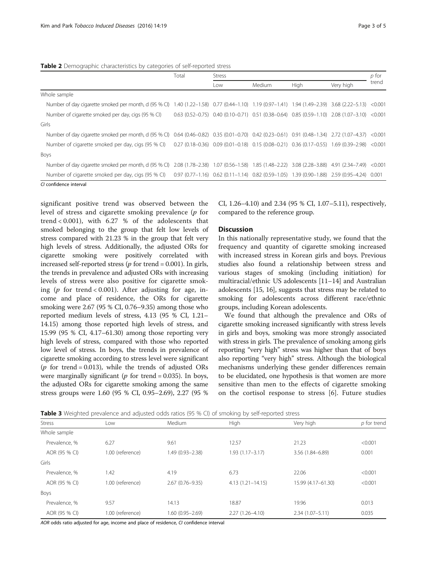<span id="page-2-0"></span>Table 2 Demographic characteristics by categories of self-reported stress

|                                                                                                                                                   | Total | <b>Stress</b> |        |      |                                                                                                       | p for |  |
|---------------------------------------------------------------------------------------------------------------------------------------------------|-------|---------------|--------|------|-------------------------------------------------------------------------------------------------------|-------|--|
|                                                                                                                                                   |       | Low           | Medium | High | Very high                                                                                             | trend |  |
| Whole sample                                                                                                                                      |       |               |        |      |                                                                                                       |       |  |
| Number of day cigarette smoked per month, d (95 % CI)                                                                                             |       |               |        |      | $1.40(1.22-1.58)$ 0.77 $(0.44-1.10)$ 1.19 $(0.97-1.41)$ 1.94 $(1.49-2.39)$ 3.68 $(2.22-5.13)$ < 0.001 |       |  |
| Number of cigarette smoked per day, cigs (95 % CI)                                                                                                |       |               |        |      | $0.63$ (0.52-0.75) 0.40 (0.10-0.71) 0.51 (0.38-0.64) 0.85 (0.59-1.10) 2.08 (1.07-3.10) < 0.001        |       |  |
| Girls                                                                                                                                             |       |               |        |      |                                                                                                       |       |  |
| Number of day cigarette smoked per month, d (95 % Cl) 0.64 (0.46-0.82) 0.35 (0.01-0.70) 0.42 (0.23-0.61) 0.91 (0.48-1.34) 2.72 (1.07-4.37) <0.001 |       |               |        |      |                                                                                                       |       |  |
| Number of cigarette smoked per day, cigs (95 % Cl) 0.27 (0.18-0.36) 0.09 (0.01-0.18) 0.15 (0.08-0.21) 0.36 (0.17-0.55) 1.69 (0.39-2.98) <0.001    |       |               |        |      |                                                                                                       |       |  |
| Boys                                                                                                                                              |       |               |        |      |                                                                                                       |       |  |
| Number of day cigarette smoked per month, d (95 % Cl) 2.08 (1.78-2.38) 1.07 (0.56-1.58) 1.85 (1.48-2.22) 3.08 (2.28-3.88) 4.91 (2.34-7.49) <0.001 |       |               |        |      |                                                                                                       |       |  |
| Number of cigarette smoked per day, cigs (95 % Cl) 0.97 (0.77–1.16) 0.62 (0.11–1.14) 0.82 (0.59–1.05) 1.39 (0.90–1.88) 2.59 (0.95–4.24) 0.001     |       |               |        |      |                                                                                                       |       |  |
| CI confidence interval                                                                                                                            |       |               |        |      |                                                                                                       |       |  |

significant positive trend was observed between the level of stress and cigarette smoking prevalence (p for trend < 0.001), with 6.27 % of the adolescents that smoked belonging to the group that felt low levels of stress compared with 21.23 % in the group that felt very high levels of stress. Additionally, the adjusted ORs for cigarette smoking were positively correlated with increased self-reported stress ( $p$  for trend = 0.001). In girls, the trends in prevalence and adjusted ORs with increasing levels of stress were also positive for cigarette smoking ( $p$  for trend < 0.001). After adjusting for age, income and place of residence, the ORs for cigarette smoking were 2.67 (95 % CI, 0.76–9.35) among those who reported medium levels of stress, 4.13 (95 % CI, 1.21– 14.15) among those reported high levels of stress, and 15.99 (95 % CI, 4.17–61.30) among those reporting very high levels of stress, compared with those who reported low level of stress. In boys, the trends in prevalence of cigarette smoking according to stress level were significant ( $p$  for trend = 0.013), while the trends of adjusted ORs were marginally significant ( $p$  for trend = 0.035). In boys, the adjusted ORs for cigarette smoking among the same stress groups were 1.60 (95 % CI, 0.95–2.69), 2.27 (95 %

CI, 1.26–4.10) and 2.34 (95 % CI, 1.07–5.11), respectively, compared to the reference group.

## Discussion

In this nationally representative study, we found that the frequency and quantity of cigarette smoking increased with increased stress in Korean girls and boys. Previous studies also found a relationship between stress and various stages of smoking (including initiation) for multiracial/ethnic US adolescents [[11](#page-3-0)–[14\]](#page-3-0) and Australian adolescents [\[15](#page-3-0), [16\]](#page-3-0), suggests that stress may be related to smoking for adolescents across different race/ethnic groups, including Korean adolescents.

We found that although the prevalence and ORs of cigarette smoking increased significantly with stress levels in girls and boys, smoking was more strongly associated with stress in girls. The prevalence of smoking among girls reporting "very high" stress was higher than that of boys also reporting "very high" stress. Although the biological mechanisms underlying these gender differences remain to be elucidated, one hypothesis is that women are more sensitive than men to the effects of cigarette smoking on the cortisol response to stress [[6\]](#page-3-0). Future studies

**Table 3** Weighted prevalence and adjusted odds ratios (95 % CI) of smoking by self-reported stress

| Low              | <b>Medium</b>       | High                 | Very high           | p for trend |  |  |
|------------------|---------------------|----------------------|---------------------|-------------|--|--|
|                  |                     |                      |                     |             |  |  |
| 6.27             | 9.61                | 12.57                | 21.23               | < 0.001     |  |  |
| 1.00 (reference) | $1.49(0.93 - 2.38)$ | $1.93(1.17 - 3.17)$  | 3.56 (1.84-6.89)    | 0.001       |  |  |
|                  |                     |                      |                     |             |  |  |
| 1.42             | 4.19                | 6.73                 | 22.06               | < 0.001     |  |  |
| 1.00 (reference) | $2.67(0.76 - 9.35)$ | $4.13(1.21 - 14.15)$ | 15.99 (4.17-61.30)  | < 0.001     |  |  |
|                  |                     |                      |                     |             |  |  |
| 9.57             | 14.13               | 18.87<br>19.96       |                     | 0.013       |  |  |
| 1.00 (reference) | $1.60(0.95 - 2.69)$ | $2.27(1.26 - 4.10)$  | $2.34(1.07 - 5.11)$ | 0.035       |  |  |
|                  |                     |                      |                     |             |  |  |

AOR odds ratio adjusted for age, income and place of residence, CI confidence interval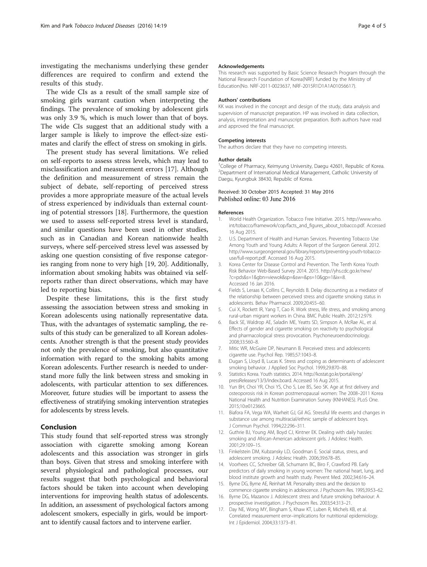<span id="page-3-0"></span>investigating the mechanisms underlying these gender differences are required to confirm and extend the results of this study.

The wide CIs as a result of the small sample size of smoking girls warrant caution when interpreting the findings. The prevalence of smoking by adolescent girls was only 3.9 %, which is much lower than that of boys. The wide CIs suggest that an additional study with a larger sample is likely to improve the effect-size estimates and clarify the effect of stress on smoking in girls.

The present study has several limitations. We relied on self-reports to assess stress levels, which may lead to misclassification and measurement errors [17]. Although the definition and measurement of stress remain the subject of debate, self-reporting of perceived stress provides a more appropriate measure of the actual levels of stress experienced by individuals than external counting of potential stressors [\[18\]](#page-4-0). Furthermore, the question we used to assess self-reported stress level is standard, and similar questions have been used in other studies, such as in Canadian and Korean nationwide health surveys, where self-perceived stress level was assessed by asking one question consisting of five response categories ranging from none to very high [\[19](#page-4-0), [20](#page-4-0)]. Additionally, information about smoking habits was obtained via selfreports rather than direct observations, which may have led to reporting bias.

Despite these limitations, this is the first study assessing the association between stress and smoking in Korean adolescents using nationally representative data. Thus, with the advantages of systematic sampling, the results of this study can be generalized to all Korean adolescents. Another strength is that the present study provides not only the prevalence of smoking, but also quantitative information with regard to the smoking habits among Korean adolescents. Further research is needed to understand more fully the link between stress and smoking in adolescents, with particular attention to sex differences. Moreover, future studies will be important to assess the effectiveness of stratifying smoking intervention strategies for adolescents by stress levels.

## Conclusion

This study found that self-reported stress was strongly association with cigarette smoking among Korean adolescents and this association was stronger in girls than boys. Given that stress and smoking interfere with several physiological and pathological processes, our results suggest that both psychological and behavioral factors should be taken into account when developing interventions for improving health status of adolescents. In addition, an assessment of psychological factors among adolescent smokers, especially in girls, would be important to identify causal factors and to intervene earlier.

#### Acknowledgements

This research was supported by Basic Science Research Program through the National Research Foundation of Korea(NRF) funded by the Ministry of Education(No. NRF-2011-0023637, NRF-2015R1D1A1A01056617).

#### Authors' contributions

KK was involved in the concept and design of the study, data analysis and supervision of manuscript preparation. HP was involved in data collection, analysis, interpretation and manuscript preparation. Both authors have read and approved the final manuscript.

#### Competing interests

The authors declare that they have no competing interests.

#### Author details

<sup>1</sup>College of Pharmacy, Keimyung University, Daegu 42601, Republic of Korea 2 Department of International Medical Management, Catholic University of Daegu, Kyungbuk 38430, Republic of Korea.

#### Received: 30 October 2015 Accepted: 31 May 2016 Published online: 03 June 2016

#### References

- 1. World Health Organization. Tobacco Free Initiative. 2015. [http://www.who.](http://www.who.int/tobacco/framework/cop/facts_and_figures_about_tobacco.pdf) [int/tobacco/framework/cop/facts\\_and\\_figures\\_about\\_tobacco.pdf](http://www.who.int/tobacco/framework/cop/facts_and_figures_about_tobacco.pdf). Accessed 16 Aug 2015.
- 2. U.S. Department of Health and Human Services. Preventing Tobacco Use Among Youth and Young Adults: A Report of the Surgeon General. 2012. [http://www.surgeongeneral.gov/library/reports/preventing-youth-tobacco](http://www.surgeongeneral.gov/library/reports/preventing-youth-tobacco-use/full-report.pdf)[use/full-report.pdf.](http://www.surgeongeneral.gov/library/reports/preventing-youth-tobacco-use/full-report.pdf) Accessed 16 Aug 2015.
- 3. Korea Center for Disease Control and Prevention. The Tenth Korea Youth Risk Behavior Web-Based Survey 2014. 2015. [http://yhs.cdc.go.kr/new/](http://yhs.cdc.go.kr/new/?c=pds&s=1&gbn=viewok&sp=&sw=&ps=10&gp=1&ix=8) [?c=pds&s=1&gbn=viewok&sp=&sw=&ps=10&gp=1&ix=8](http://yhs.cdc.go.kr/new/?c=pds&s=1&gbn=viewok&sp=&sw=&ps=10&gp=1&ix=8). Accessed 16 Jan 2016.
- 4. Fields S, Leraas K, Collins C, Reynolds B. Delay discounting as a mediator of the relationship between perceived stress and cigarette smoking status in adolescents. Behav Pharmacol. 2009;20:455–60.
- 5. Cui X, Rockett IR, Yang T, Cao R. Work stress, life stress, and smoking among rural-urban migrant workers in China. BMC Public Health. 2012;12:979.
- 6. Back SE, Waldrop AE, Saladin ME, Yeatts SD, Simpson A, McRae AL, et al. Effects of gender and cigarette smoking on reactivity to psychological and pharmacological stress provocation. Psychoneuroendocrinology. 2008;33:560–8.
- 7. Mitic WR, McGuire DP, Neumann B. Perceived stress and adolescents cigarette use. Psychol Rep. 1985;57:1043–8.
- 8. Dugan S, Lloyd B, Lucas K. Stress and coping as determinants of adolescent smoking behavior. J Applied Soc Psychol. 1999;29:870–88.
- 9. Statistics Korea. Youth statistics. 2014. [http://kostat.go.kr/portal/eng/](http://kostat.go.kr/portal/eng/pressReleases/13/3/index.board) [pressReleases/13/3/index.board](http://kostat.go.kr/portal/eng/pressReleases/13/3/index.board). Accessed 16 Aug 2015.
- 10. Yun BH, Choi YR, Choi YS, Cho S, Lee BS, Seo SK. Age at first delivery and osteoporosis risk in Korean postmenopausal women: The 2008–2011 Korea National Health and Nutrition Examination Survey (KNHANES). PLoS One. 2015;10:e0123665.
- 11. Biafora FA, Vega WA, Warheit GJ, Gil AG. Stressful life events and changes in substance use among multiracial/ethnic sample of adolescent boys. J Commun Psychol. 1994;22:296–311.
- 12. Guthrie BJ, Young AM, Boyd CJ, Kintner EK. Dealing with daily hassles: smoking and African-American adolescent girls. J Adolesc Health. 2001;29:109–15.
- 13. Finkelstein DM, Kubzansky LD, Goodman E. Social status, stress, and adolescent smoking. J Adolesc Health. 2006;39:678–85.
- 14. Voorhees CC, Schreiber GB, Schumann BC, Biro F, Crawford PB. Early predictors of daily smoking in young women: The national heart, lung, and blood institute growth and health study. Prevent Med. 2002;34:616–24.
- 15. Byrne DG, Byrne AE, Reinhart MI. Personality stress and the decision to commence cigarette smoking in adolescence. J Psychosom Res. 1995;39:53–62.
- 16. Byrne DG, Mazanov J. Adolescent stress and future smoking behaviour: A prospective investigation. J Psychosom Res. 2003;54:313–21.
- 17. Day NE, Wong MY, Bingham S, Khaw KT, Luben R, Michels KB, et al. Correlated measurement error–implications for nutritional epidemiology. Int J Epidemiol. 2004;33:1373–81.